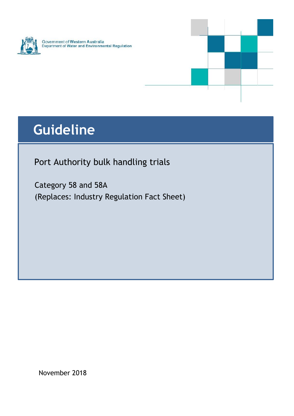

Government of Western Australia<br>Department of Water and Environmental Regulation



# **Guideline Guideline**

Port Authority bulk handling trials

Category 58 and 58A (Replaces: Industry Regulation Fact Sheet)

November 2018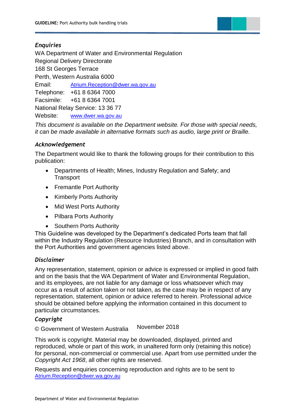

WA Department of Water and Environmental Regulation Regional Delivery Directorate 168 St Georges Terrace Perth, Western Australia 6000 Email: [Atrium.Reception@dwer.wa.gov.au](mailto:Atrium.Reception@dwer.wa.gov.au) Telephone: +61 8 6364 7000 Facsimile: +61 8 6364 7001 National Relay Service: 13 36 77 Website: [www.dwer.wa.gov.au](http://www.dwer.wa.gov.au/)

*This document is available on the Department website. For those with special needs, it can be made available in alternative formats such as audio, large print or Braille.* 

#### *Acknowledgement*

The Department would like to thank the following groups for their contribution to this publication:

- Departments of Health; Mines, Industry Regulation and Safety; and **Transport**
- Fremantle Port Authority
- Kimberly Ports Authority
- Mid West Ports Authority
- Pilbara Ports Authority
- Southern Ports Authority

This Guideline was developed by the Department's dedicated Ports team that fall within the Industry Regulation (Resource Industries) Branch, and in consultation with the Port Authorities and government agencies listed above.

#### *Disclaimer*

Any representation, statement, opinion or advice is expressed or implied in good faith and on the basis that the WA Department of Water and Environmental Regulation, and its employees, are not liable for any damage or loss whatsoever which may occur as a result of action taken or not taken, as the case may be in respect of any representation, statement, opinion or advice referred to herein. Professional advice should be obtained before applying the information contained in this document to particular circumstances.

#### *Copyright*

© Government of Western Australia November 2018

This work is copyright. Material may be downloaded, displayed, printed and reproduced, whole or part of this work, in unaltered form only (retaining this notice) for personal, non-commercial or commercial use. Apart from use permitted under the *Copyright Act 1968*, all other rights are reserved.

Requests and enquiries concerning reproduction and rights are to be sent to [Atrium.Reception@dwer.wa.gov.au](mailto:Atrium.Reception@dwer.wa.gov.au)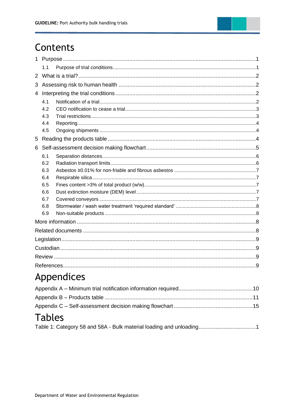### Contents

| 1              |     |  |  |  |  |  |  |
|----------------|-----|--|--|--|--|--|--|
|                | 1.1 |  |  |  |  |  |  |
| $\overline{2}$ |     |  |  |  |  |  |  |
| 3              |     |  |  |  |  |  |  |
| 4              |     |  |  |  |  |  |  |
|                | 4.1 |  |  |  |  |  |  |
|                | 4.2 |  |  |  |  |  |  |
|                | 4.3 |  |  |  |  |  |  |
|                | 4.4 |  |  |  |  |  |  |
|                | 4.5 |  |  |  |  |  |  |
| 5              |     |  |  |  |  |  |  |
| 6              |     |  |  |  |  |  |  |
|                | 6.1 |  |  |  |  |  |  |
|                | 6.2 |  |  |  |  |  |  |
|                | 6.3 |  |  |  |  |  |  |
|                | 6.4 |  |  |  |  |  |  |
|                | 6.5 |  |  |  |  |  |  |
|                | 6.6 |  |  |  |  |  |  |
|                | 6.7 |  |  |  |  |  |  |
|                | 6.8 |  |  |  |  |  |  |
|                | 6.9 |  |  |  |  |  |  |
|                |     |  |  |  |  |  |  |
|                |     |  |  |  |  |  |  |
|                |     |  |  |  |  |  |  |
|                |     |  |  |  |  |  |  |
|                |     |  |  |  |  |  |  |
|                |     |  |  |  |  |  |  |

# Appendices

| <b>Tables</b> |  |
|---------------|--|

|  | Table 1: Category 58 and 58A - Bulk material loading and unloading1 |
|--|---------------------------------------------------------------------|
|--|---------------------------------------------------------------------|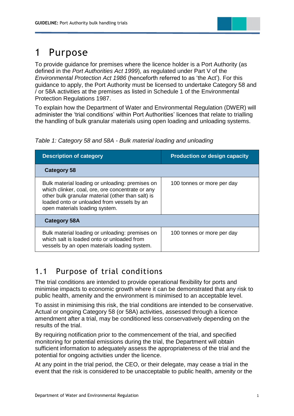

### <span id="page-3-0"></span>1 Purpose

To provide guidance for premises where the licence holder is a Port Authority (as defined in the *Port Authorities Act 1999*), as regulated under Part V of the *Environmental Protection Act 1986* (henceforth referred to as 'the Act'). For this guidance to apply, the Port Authority must be licensed to undertake Category 58 and / or 58A activities at the premises as listed in Schedule 1 of the Environmental Protection Regulations 1987.

To explain how the Department of Water and Environmental Regulation (DWER) will administer the 'trial conditions' within Port Authorities' licences that relate to trialling the handling of bulk granular materials using open loading and unloading systems.

<span id="page-3-2"></span>

| Table 1: Category 58 and 58A - Bulk material loading and unloading |  |  |
|--------------------------------------------------------------------|--|--|
|                                                                    |  |  |

| <b>Description of category</b>                                                                                                                                                                                                           | <b>Production or design capacity</b> |  |  |
|------------------------------------------------------------------------------------------------------------------------------------------------------------------------------------------------------------------------------------------|--------------------------------------|--|--|
| <b>Category 58</b>                                                                                                                                                                                                                       |                                      |  |  |
| Bulk material loading or unloading: premises on<br>which clinker, coal, ore, ore concentrate or any<br>other bulk granular material (other than salt) is<br>loaded onto or unloaded from vessels by an<br>open materials loading system. | 100 tonnes or more per day           |  |  |
| <b>Category 58A</b>                                                                                                                                                                                                                      |                                      |  |  |
| Bulk material loading or unloading: premises on<br>which salt is loaded onto or unloaded from<br>vessels by an open materials loading system.                                                                                            | 100 tonnes or more per day           |  |  |

#### <span id="page-3-1"></span>1.1 Purpose of trial conditions

The trial conditions are intended to provide operational flexibility for ports and minimise impacts to economic growth where it can be demonstrated that any risk to public health, amenity and the environment is minimised to an acceptable level.

To assist in minimising this risk, the trial conditions are intended to be conservative. Actual or ongoing Category 58 (or 58A) activities, assessed through a licence amendment after a trial, may be conditioned less conservatively depending on the results of the trial.

By requiring notification prior to the commencement of the trial, and specified monitoring for potential emissions during the trial, the Department will obtain sufficient information to adequately assess the appropriateness of the trial and the potential for ongoing activities under the licence.

At any point in the trial period, the CEO, or their delegate, may cease a trial in the event that the risk is considered to be unacceptable to public health, amenity or the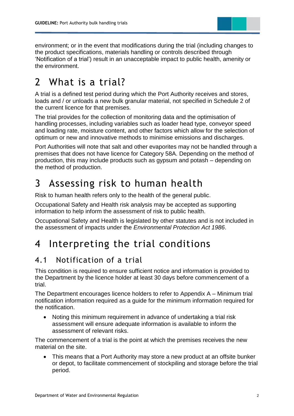

environment; or in the event that modifications during the trial (including changes to the product specifications, materials handling or controls described through 'Notification of a trial') result in an unacceptable impact to public health, amenity or the environment.

### <span id="page-4-0"></span>2 What is a trial?

A trial is a defined test period during which the Port Authority receives and stores, loads and / or unloads a new bulk granular material, not specified in Schedule 2 of the current licence for that premises.

The trial provides for the collection of monitoring data and the optimisation of handling processes, including variables such as loader head type, conveyor speed and loading rate, moisture content, and other factors which allow for the selection of optimum or new and innovative methods to minimise emissions and discharges.

Port Authorities will note that salt and other evaporites may not be handled through a premises that does not have licence for Category 58A. Depending on the method of production, this may include products such as gypsum and potash – depending on the method of production.

# <span id="page-4-1"></span>3 Assessing risk to human health

Risk to human health refers only to the health of the general public.

Occupational Safety and Health risk analysis may be accepted as supporting information to help inform the assessment of risk to public health.

Occupational Safety and Health is legislated by other statutes and is not included in the assessment of impacts under the *Environmental Protection Act 1986*.

# <span id="page-4-2"></span>4 Interpreting the trial conditions

#### <span id="page-4-3"></span>4.1 Notification of a trial

This condition is required to ensure sufficient notice and information is provided to the Department by the licence holder at least 30 days before commencement of a trial.

The Department encourages licence holders to refer to Appendix A – [Minimum trial](#page-12-0) [notification information required](#page-12-0) as a guide for the minimum information required for the notification.

 Noting this minimum requirement in advance of undertaking a trial risk assessment will ensure adequate information is available to inform the assessment of relevant risks.

The commencement of a trial is the point at which the premises receives the new material on the site.

 This means that a Port Authority may store a new product at an offsite bunker or depot, to facilitate commencement of stockpiling and storage before the trial period.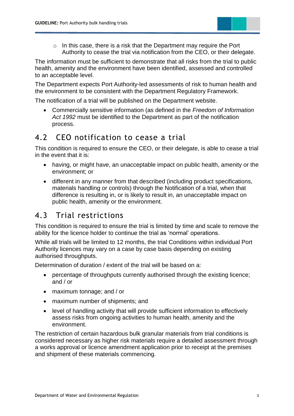

o In this case, there is a risk that the Department may require the Port Authority to cease the trial via notification from the CEO, or their delegate.

The information must be sufficient to demonstrate that all risks from the trial to public health, amenity and the environment have been identified, assessed and controlled to an acceptable level.

The Department expects Port Authority-led assessments of risk to human health and the environment to be consistent with the Department Regulatory Framework.

The notification of a trial will be published on the Department website.

 Commercially sensitive information (as defined in the *Freedom of Information Act 1992* must be identified to the Department as part of the notification process.

#### <span id="page-5-0"></span>4.2 CEO notification to cease a trial

This condition is required to ensure the CEO, or their delegate, is able to cease a trial in the event that it is:

- having, or might have, an unacceptable impact on public health, amenity or the environment; or
- different in any manner from that described (including product specifications, materials handling or controls) through the Notification of a trial, when that difference is resulting in, or is likely to result in, an unacceptable impact on public health, amenity or the environment.

#### <span id="page-5-1"></span>4.3 Trial restrictions

This condition is required to ensure the trial is limited by time and scale to remove the ability for the licence holder to continue the trial as 'normal' operations.

While all trials will be limited to 12 months, the trial Conditions within individual Port Authority licences may vary on a case by case basis depending on existing authorised throughputs.

Determination of duration / extent of the trial will be based on a:

- percentage of throughputs currently authorised through the existing licence; and / or
- maximum tonnage; and / or
- maximum number of shipments; and
- level of handling activity that will provide sufficient information to effectively assess risks from ongoing activities to human health, amenity and the environment.

The restriction of certain hazardous bulk granular materials from trial conditions is considered necessary as higher risk materials require a detailed assessment through a works approval or licence amendment application prior to receipt at the premises and shipment of these materials commencing.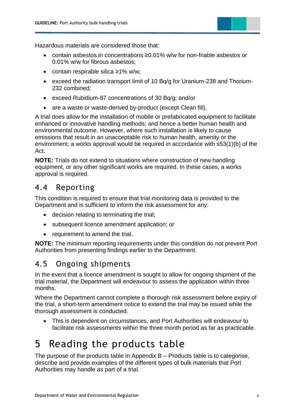

Hazardous materials are considered those that:

- contain asbestos in concentrations ≥0.01% w/w for non-friable asbestos or 0.01% w/w for fibrous asbestos;
- contain respirable silica ≥1% w/w;
- exceed the radiation transport limit of 10 Bq/g for Uranium-238 and Thorium-232 combined;
- exceed Rubidium-87 concentrations of 30 Bq/g; and/or
- are a waste or waste-derived by-product (except Clean fill).

A trial does allow for the installation of mobile or prefabricated equipment to facilitate enhanced or innovative handling methods; and hence a better human health and environmental outcome. However, where such installation is likely to cause emissions that result in an unacceptable risk to human health, amenity or the environment, a works approval would be required in accordance with s53(1)(b) of the Act.

**NOTE:** Trials do not extend to situations where construction of new handling equipment, or any other significant works are required. In these cases, a works approval is required.

#### <span id="page-6-0"></span>4.4 Reporting

This condition is required to ensure that trial monitoring data is provided to the Department and is sufficient to inform the risk assessment for any:

- decision relating to terminating the trial;
- subsequent licence amendment application; or
- requirement to amend the trial.

**NOTE:** The minimum reporting requirements under this condition do not prevent Port Authorities from presenting findings earlier to the Department.

### <span id="page-6-1"></span>4.5 Ongoing shipments

In the event that a licence amendment is sought to allow for ongoing shipment of the trial material, the Department will endeavour to assess the application within three months.

Where the Department cannot complete a thorough risk assessment before expiry of the trial, a short-term amendment notice to extend the trial may be issued while the thorough assessment is conducted.

 This is dependent on circumstances, and Port Authorities will endeavour to facilitate risk assessments within the three month period as far as practicable.

# <span id="page-6-2"></span>5 Reading the products table

The purpose of the products table in Appendix  $B -$  [Products table](#page-13-0) is to categorise, describe and provide examples of the different types of bulk materials that Port Authorities may handle as part of a trial.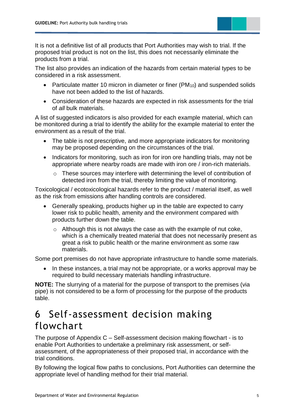

It is not a definitive list of all products that Port Authorities may wish to trial. If the proposed trial product is not on the list, this does not necessarily eliminate the products from a trial.

The list also provides an indication of the hazards from certain material types to be considered in a risk assessment.

- Particulate matter 10 micron in diameter or finer ( $PM_{10}$ ) and suspended solids have not been added to the list of hazards.
- Consideration of these hazards are expected in risk assessments for the trial of *all* bulk materials.

A list of suggested indicators is also provided for each example material, which can be monitored during a trial to identify the ability for the example material to enter the environment as a result of the trial.

- The table is not prescriptive, and more appropriate indicators for monitoring may be proposed depending on the circumstances of the trial.
- Indicators for monitoring, such as iron for iron ore handling trials, may not be appropriate where nearby roads are made with iron ore / iron-rich materials.
	- o These sources may interfere with determining the level of contribution of detected iron from the trial, thereby limiting the value of monitoring.

Toxicological / ecotoxicological hazards refer to the product / material itself, as well as the risk from emissions after handling controls are considered.

- Generally speaking, products higher up in the table are expected to carry lower risk to public health, amenity and the environment compared with products further down the table.
	- o Although this is not always the case as with the example of nut coke, which is a chemically treated material that does not necessarily present as great a risk to public health or the marine environment as some raw materials.

Some port premises do not have appropriate infrastructure to handle some materials.

• In these instances, a trial may not be appropriate, or a works approval may be required to build necessary materials handling infrastructure.

**NOTE:** The slurrying of a material for the purpose of transport to the premises (via pipe) is not considered to be a form of processing for the purpose of the products table.

### <span id="page-7-0"></span>6 Self-assessment decision making flowchart

The purpose of Appendix C – Self-assessment [decision making flowchart](#page-17-0) - is to enable Port Authorities to undertake a preliminary risk assessment, or selfassessment, of the appropriateness of their proposed trial, in accordance with the trial conditions.

By following the logical flow paths to conclusions, Port Authorities can determine the appropriate level of handling method for their trial material.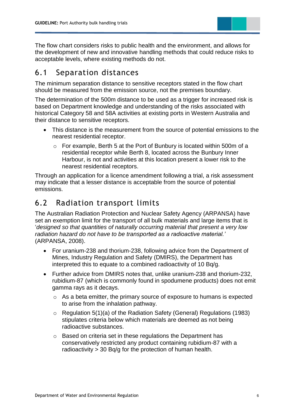

The flow chart considers risks to public health and the environment, and allows for the development of new and innovative handling methods that could reduce risks to acceptable levels, where existing methods do not.

#### <span id="page-8-0"></span>6.1 Separation distances

The minimum separation distance to sensitive receptors stated in the flow chart should be measured from the emission source, not the premises boundary.

The determination of the 500m distance to be used as a trigger for increased risk is based on Department knowledge and understanding of the risks associated with historical Category 58 and 58A activities at existing ports in Western Australia and their distance to sensitive receptors.

- This distance is the measurement from the source of potential emissions to the nearest residential receptor.
	- o For example, Berth 5 at the Port of Bunbury is located within 500m of a residential receptor while Berth 8, located across the Bunbury Inner Harbour, is not and activities at this location present a lower risk to the nearest residential receptors.

Through an application for a licence amendment following a trial, a risk assessment may indicate that a lesser distance is acceptable from the source of potential emissions.

### <span id="page-8-1"></span>6.2 Radiation transport limits

The Australian Radiation Protection and Nuclear Safety Agency (ARPANSA) have set an exemption limit for the transport of all bulk materials and large items that is '*designed so that quantities of naturally occurring material that present a very low radiation hazard do not have to be transported as a radioactive material.'* (ARPANSA, 2008).

- For uranium-238 and thorium-238, following advice from the Department of Mines, Industry Regulation and Safety (DMIRS), the Department has interpreted this to equate to a combined radioactivity of 10 Bq/g.
- Further advice from DMIRS notes that, unlike uranium-238 and thorium-232, rubidium-87 (which is commonly found in spodumene products) does not emit gamma rays as it decays.
	- o As a beta emitter, the primary source of exposure to humans is expected to arise from the inhalation pathway.
	- o Regulation 5(1)(a) of the Radiation Safety (General) Regulations (1983) stipulates criteria below which materials are deemed as not being radioactive substances.
	- o Based on criteria set in these regulations the Department has conservatively restricted any product containing rubidium-87 with a radioactivity > 30 Bq/g for the protection of human health.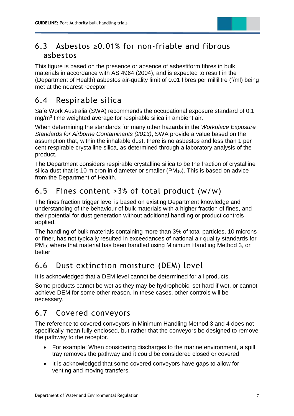

#### <span id="page-9-0"></span>6.3 Asbestos ≥0.01% for non-friable and fibrous asbestos

This figure is based on the presence or absence of asbestiform fibres in bulk materials in accordance with AS 4964 (2004), and is expected to result in the (Department of Health) asbestos air-quality limit of 0.01 fibres per millilitre (f/ml) being met at the nearest receptor.

### <span id="page-9-1"></span>6.4 Respirable silica

Safe Work Australia (SWA) recommends the occupational exposure standard of 0.1 mg/m<sup>3</sup> time weighted average for respirable silica in ambient air.

When determining the standards for many other hazards in the *Workplace Exposure Standards for Airborne Contaminants (2013)*, SWA provide a value based on the assumption that, within the inhalable dust, there is no asbestos and less than 1 per cent respirable crystalline silica, as determined through a laboratory analysis of the product.

The Department considers respirable crystalline silica to be the fraction of crystalline silica dust that is 10 micron in diameter or smaller ( $PM_{10}$ ). This is based on advice from the Department of Health.

### <span id="page-9-2"></span>6.5 Fines content >3% of total product (w/w)

The fines fraction trigger level is based on existing Department knowledge and understanding of the behaviour of bulk materials with a higher fraction of fines, and their potential for dust generation without additional handling or product controls applied.

The handling of bulk materials containing more than 3% of total particles, 10 microns or finer, has not typically resulted in exceedances of national air quality standards for PM<sup>10</sup> where that material has been handled using Minimum Handling Method 3, or better.

### <span id="page-9-3"></span>6.6 Dust extinction moisture (DEM) level

It is acknowledged that a DEM level cannot be determined for all products.

Some products cannot be wet as they may be hydrophobic, set hard if wet, or cannot achieve DEM for some other reason. In these cases, other controls will be necessary.

### <span id="page-9-4"></span>6.7 Covered conveyors

The reference to covered conveyors in Minimum Handling Method 3 and 4 does not specifically mean fully enclosed, but rather that the conveyors be designed to remove the pathway to the receptor.

- For example: When considering discharges to the marine environment, a spill tray removes the pathway and it could be considered closed or covered.
- It is acknowledged that some covered conveyors have gaps to allow for venting and moving transfers.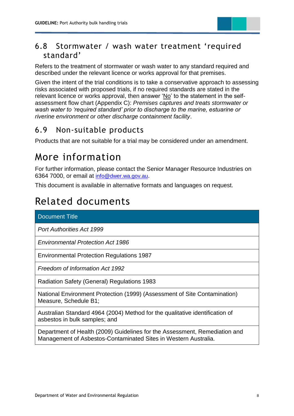

#### <span id="page-10-0"></span>6.8 Stormwater / wash water treatment 'required standard'

Refers to the treatment of stormwater or wash water to any standard required and described under the relevant licence or works approval for that premises.

Given the intent of the trial conditions is to take a conservative approach to assessing risks associated with proposed trials, if no required standards are stated in the relevant licence or works approval, then answer 'No' to the statement in the selfassessment flow chart (Appendix C): *Premises captures and treats stormwater or wash water to 'required standard' prior to discharge to the marine, estuarine or riverine environment or other discharge containment facility*.

### <span id="page-10-1"></span>6.9 Non-suitable products

Products that are not suitable for a trial may be considered under an amendment.

# <span id="page-10-2"></span>More information

For further information, please contact the Senior Manager Resource Industries on 6364 7000, or email at [info@dwer.wa.gov.au](mailto:info@dwer.wa.gov.au).

This document is available in alternative formats and languages on request.

# <span id="page-10-3"></span>Related documents

Document Title

*Port Authorities Act 1999*

*Environmental Protection Act 1986*

Environmental Protection Regulations 1987

*Freedom of Information Act 1992*

Radiation Safety (General) Regulations 1983

National Environment Protection (1999) (Assessment of Site Contamination) Measure, Schedule B1;

Australian Standard 4964 (2004) Method for the qualitative identification of asbestos in bulk samples; and

Department of Health (2009) Guidelines for the Assessment, Remediation and Management of Asbestos-Contaminated Sites in Western Australia.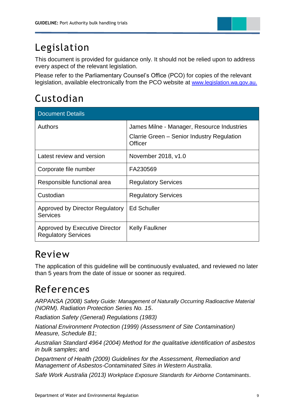

# <span id="page-11-0"></span>Legislation

This document is provided for guidance only. It should not be relied upon to address every aspect of the relevant legislation.

Please refer to the Parliamentary Counsel's Office (PCO) for copies of the relevant legislation, available electronically from the PCO website at [www.legislation.wa.gov.au.](http://www.legislation.wa.gov.au/)

# <span id="page-11-1"></span>Custodian

| <b>Document Details</b>                                             |                                                       |  |  |  |  |
|---------------------------------------------------------------------|-------------------------------------------------------|--|--|--|--|
| Authors                                                             | James Milne - Manager, Resource Industries            |  |  |  |  |
|                                                                     | Clarrie Green – Senior Industry Regulation<br>Officer |  |  |  |  |
| Latest review and version                                           | November 2018, v1.0                                   |  |  |  |  |
| Corporate file number                                               | FA230569                                              |  |  |  |  |
| Responsible functional area                                         | <b>Regulatory Services</b>                            |  |  |  |  |
| Custodian                                                           | <b>Regulatory Services</b>                            |  |  |  |  |
| Approved by Director Regulatory<br><b>Services</b>                  | <b>Ed Schuller</b>                                    |  |  |  |  |
| <b>Approved by Executive Director</b><br><b>Regulatory Services</b> | <b>Kelly Faulkner</b>                                 |  |  |  |  |

### <span id="page-11-2"></span>Review

The application of this guideline will be continuously evaluated, and reviewed no later than 5 years from the date of issue or sooner as required.

### <span id="page-11-3"></span>References

*ARPANSA (2008) Safety Guide: Management of Naturally Occurring Radioactive Material (NORM). Radiation Protection Series No. 15*.

*Radiation Safety (General) Regulations (1983)*

*National Environment Protection (1999) (Assessment of Site Contamination) Measure, Schedule B1*;

*Australian Standard 4964 (2004) Method for the qualitative identification of asbestos in bulk samples*; and

*Department of Health (2009) Guidelines for the Assessment, Remediation and Management of Asbestos-Contaminated Sites in Western Australia*.

*Safe Work Australia (2013) Workplace Exposure Standards for Airborne Contaminants*.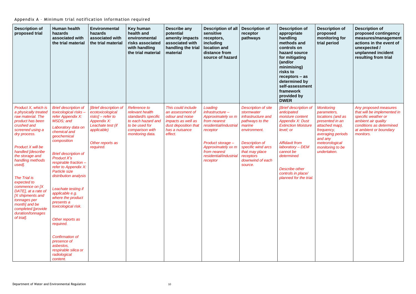<span id="page-12-0"></span>

| Appendix A - Minimum trial notification information required |  |  |  |
|--------------------------------------------------------------|--|--|--|
|                                                              |  |  |  |

| <b>Description of</b><br>proposed trial                                                                                                                                                                                                                                                                                                                                                                                  | <b>Human health</b><br>hazards<br>associated with<br>the trial material                                                                                                                                                                                                                                                                                                                                                                                                                                                                                  | <b>Environmental</b><br>hazards<br>associated with<br>the trial material                                                                                  | Key human<br>health and<br>environmental<br>risks associated<br>with handling<br>the trial material                                          | Describe any<br>potential<br>amenity impacts<br>associated with<br>handling the trial<br>material                                           | <b>Description of all</b><br>sensitive<br>receptors,<br>including<br>location and<br>distance from<br>source of hazard                                                                                        | <b>Description of</b><br>receptor<br>pathways                                                                                                                                                                            | <b>Description of</b><br>appropriate<br>handling<br>methods and<br>controls on<br>hazard source<br>for mitigating<br>(and/or<br>minimising)<br>risks to<br>$receptors - as$<br>determined by<br>self-assessment<br>framework<br>provided by<br><b>DWER</b>                      |
|--------------------------------------------------------------------------------------------------------------------------------------------------------------------------------------------------------------------------------------------------------------------------------------------------------------------------------------------------------------------------------------------------------------------------|----------------------------------------------------------------------------------------------------------------------------------------------------------------------------------------------------------------------------------------------------------------------------------------------------------------------------------------------------------------------------------------------------------------------------------------------------------------------------------------------------------------------------------------------------------|-----------------------------------------------------------------------------------------------------------------------------------------------------------|----------------------------------------------------------------------------------------------------------------------------------------------|---------------------------------------------------------------------------------------------------------------------------------------------|---------------------------------------------------------------------------------------------------------------------------------------------------------------------------------------------------------------|--------------------------------------------------------------------------------------------------------------------------------------------------------------------------------------------------------------------------|---------------------------------------------------------------------------------------------------------------------------------------------------------------------------------------------------------------------------------------------------------------------------------|
| Product X, which is<br>a physically treated<br>raw material. The<br>product has been<br>crushed and<br>screened using a<br>dry process.<br>Product X will be<br>handled [describe<br>the storage and<br>handling methods<br>used].<br>The Trial is<br>expected to<br>commence on [X<br>DATE], at a rate of<br>[X shipments and<br>tonnages per<br>month] and be<br>completed [provide<br>duration/tonnages<br>of trial]. | <b>Brief description of</b><br>toxicological risks-<br>refer Appendix X:<br>MSDS; and<br>Laboratory data on<br>chemical and<br>geochemical<br>composition<br><b>Brief description of</b><br>Product X's<br>respirable fraction -<br>refer to Appendix X:<br><b>Particle size</b><br>distribution analysis<br>Leachate testing if<br>applicable e.g.<br>where the product<br>presents a<br>toxicological risk.<br>Other reports as<br>required.<br><b>Confirmation of</b><br>presence of<br>asbestos,<br>respirable silica or<br>radiological<br>content. | [Brief description of<br>ecotoxicological<br>risks] - refer to<br><b>Appendix X:</b><br>Leachate test (if<br>applicable)<br>Other reports as<br>required. | <b>Reference to</b><br>relevant health<br>standard/s specific<br>to each hazard and<br>to be used for<br>comparison with<br>monitoring data. | This could include<br>an assessment of<br>odour and noise<br><i>impacts as well as</i><br>dust deposition that<br>has a nuisance<br>effect. | Loading<br>$in$ frastructure $-$<br>Approximately xx m<br>from nearest<br>residential/industrial<br>receptor<br>Product storage -<br>Approximately xx m<br>from nearest<br>residential/industrial<br>receptor | <b>Description of site</b><br>stormwater<br>infrastructure and<br>pathways to the<br>marine<br>environment.<br><b>Description of</b><br>specific wind arcs<br>that may place<br>receptors<br>downwind of each<br>source. | [Brief description of<br>anticipated<br>moisture content<br><b>Appendix X: Dust</b><br><b>Extinction Moisture</b><br>level; or<br><b>Affidavit from</b><br>laboratory - DEM<br>cannot be<br>determined<br><b>Describe other</b><br>controls in place/<br>planned for the trial. |

| <b>Description of</b><br>proposed<br>monitoring for<br>trial period                                                                                                                           | <b>Description of</b><br>proposed contingency<br>measures/management<br>actions in the event of<br>unexpected /<br>unplanned incident<br>resulting from trial         |
|-----------------------------------------------------------------------------------------------------------------------------------------------------------------------------------------------|-----------------------------------------------------------------------------------------------------------------------------------------------------------------------|
| <b>Monitoring</b><br>parameters,<br>locations (and as<br>presented in an<br>attached map),<br>frequency,<br>averaging periods<br>and any<br>meteorological<br>monitoring to be<br>undertaken. | Any proposed measures<br>that will be implemented in<br>specific weather or<br>ambient air quality<br>conditions as determined<br>at ambient or boundary<br>monitors. |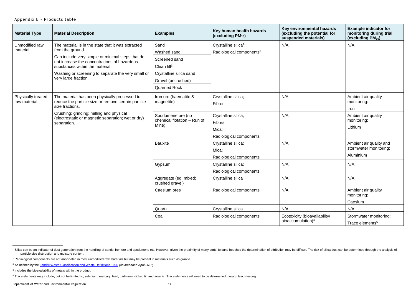#### <span id="page-13-0"></span>Appendix B – Products table

| <b>Material Type</b>      | <b>Material Description</b>                                                                                   | <b>Examples</b>                                  | Key human health hazards<br>(excluding PM10) | Key environmental hazards<br>(excluding the potential for<br>suspended materials) | <b>Example indicator for</b><br>monitoring during trial<br>(excluding PM <sub>10</sub> ) |
|---------------------------|---------------------------------------------------------------------------------------------------------------|--------------------------------------------------|----------------------------------------------|-----------------------------------------------------------------------------------|------------------------------------------------------------------------------------------|
| Unmodified raw            | The material is in the state that it was extracted                                                            | Sand                                             | Crystalline silica <sup>1</sup> ;            | N/A                                                                               | N/A                                                                                      |
| material                  | from the ground                                                                                               | Washed sand                                      | Radiological components <sup>2</sup>         |                                                                                   |                                                                                          |
|                           | Can include very simple or minimal steps that do<br>not increase the concentrations of hazardous              | Screened sand                                    |                                              |                                                                                   |                                                                                          |
|                           | substances within the material                                                                                | Clean fill <sup>3</sup>                          |                                              |                                                                                   |                                                                                          |
|                           | Washing or screening to separate the very small or                                                            | Crystalline silica sand                          |                                              |                                                                                   |                                                                                          |
|                           | very large fraction                                                                                           | Gravel (uncrushed)                               |                                              |                                                                                   |                                                                                          |
|                           |                                                                                                               | <b>Quarried Rock</b>                             |                                              |                                                                                   |                                                                                          |
| <b>Physically treated</b> | The material has been physically processed to                                                                 | Iron ore (haematite &                            | Crystalline silica;                          | N/A                                                                               | Ambient air quality                                                                      |
| raw material              | reduce the particle size or remove certain particle<br>size fractions.                                        | magnetite)                                       | <b>Fibres</b>                                |                                                                                   | monitoring:<br>Iron                                                                      |
|                           | Crushing; grinding; milling and physical<br>(electrostatic or magnetic separation; wet or dry)<br>separation. | Spodumene ore (no<br>chemical flotation - Run of | Crystalline silica;                          | N/A                                                                               | Ambient air quality<br>monitoring:                                                       |
|                           |                                                                                                               | Mine)                                            | Fibres;<br>Mica;                             |                                                                                   | Lithium                                                                                  |
|                           |                                                                                                               |                                                  | Radiological components                      |                                                                                   |                                                                                          |
|                           |                                                                                                               | <b>Bauxite</b>                                   | Crystalline silica;                          | N/A                                                                               | Ambient air quality and                                                                  |
|                           |                                                                                                               |                                                  | Mica;                                        |                                                                                   | stormwater monitoring:                                                                   |
|                           |                                                                                                               |                                                  | Radiological components                      |                                                                                   | Aluminium                                                                                |
|                           |                                                                                                               | Gypsum                                           | Crystalline silica;                          | N/A                                                                               | N/A                                                                                      |
|                           |                                                                                                               |                                                  | Radiological components                      |                                                                                   |                                                                                          |
|                           |                                                                                                               | Aggregate (eg. mixed;<br>crushed gravel)         | Crystalline silica                           | N/A                                                                               | N/A                                                                                      |
|                           |                                                                                                               | Caesium ores                                     | Radiological components                      | N/A                                                                               | Ambient air quality<br>monitoring:                                                       |
|                           |                                                                                                               |                                                  |                                              |                                                                                   | Caesium                                                                                  |
|                           |                                                                                                               | Quartz                                           | Crystalline silica                           | N/A                                                                               | N/A                                                                                      |
|                           |                                                                                                               | Coal                                             | Radiological components                      | Ecotoxicity (bioavailability/                                                     | Stormwater monitoring:                                                                   |
|                           |                                                                                                               |                                                  |                                              | bioaccumulation) <sup>4</sup>                                                     | Trace elements <sup>5</sup>                                                              |

Department of Water and Environmental Regulation 11 11 11 12 11 12 11 12 11 12 11 12 11 12 11 12 11 12 11 12 11

 $\overline{a}$ 

<sup>&</sup>lt;sup>1</sup> Silica can be an indicator of dust generation from the handling of sands, iron ore and spodumene etc. However, given the proximity of many ports' to sand beaches the determination of attribution may be difficult. The r particle size distribution and moisture content.

<sup>&</sup>lt;sup>2</sup> Radiological components are not anticipated in most unmodified raw materials but may be present in materials such as granite.

<sup>3</sup> As defined by th[e Landfill Waste Classification and Waste Definitions 1996](https://www.der.wa.gov.au/images/documents/our-work/consultation/Eclipse_Ammendments/Landfill-Waste-Classification-2018.pdf) *(as amended April 2018)*.

<sup>4</sup> Includes the bioavailability of metals within the product.

<sup>&</sup>lt;sup>5</sup> Trace elements may include, but not be limited to, selenium, mercury, lead, cadmium, nickel, tin and arsenic. Trace elements will need to be determined through leach testing.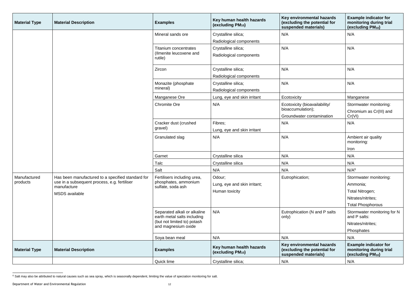| <b>Material Type</b> | <b>Material Description</b>                                 | <b>Examples</b>                                             | Key human health hazards<br>(excluding PM <sub>10</sub> ) | Key environmental hazards<br>(excluding the potential for<br>suspended materials) | <b>Example indicator for</b><br>monitoring during trial<br>(excluding PM <sub>10</sub> ) |
|----------------------|-------------------------------------------------------------|-------------------------------------------------------------|-----------------------------------------------------------|-----------------------------------------------------------------------------------|------------------------------------------------------------------------------------------|
|                      |                                                             | Mineral sands ore                                           | Crystalline silica;                                       | N/A                                                                               | N/A                                                                                      |
|                      |                                                             |                                                             | Radiological components                                   |                                                                                   |                                                                                          |
|                      |                                                             | <b>Titanium concentrates</b>                                | Crystalline silica;                                       | N/A                                                                               | N/A                                                                                      |
|                      |                                                             | (Ilmenite leucoxene and<br>rutile)                          | Radiological components                                   |                                                                                   |                                                                                          |
|                      |                                                             | Zircon                                                      | Crystalline silica;                                       | N/A                                                                               | N/A                                                                                      |
|                      |                                                             |                                                             | Radiological components                                   |                                                                                   |                                                                                          |
|                      |                                                             | Monazite (phosphate<br>mineral)                             | Crystalline silica;<br>Radiological components            | N/A                                                                               | N/A                                                                                      |
|                      |                                                             | Manganese Ore                                               | Lung, eye and skin irritant                               | Ecotoxicity                                                                       | Manganese                                                                                |
|                      |                                                             | <b>Chromite Ore</b>                                         | N/A                                                       | Ecotoxicity (bioavailability/<br>bioaccumulation);                                | Stormwater monitoring:<br>Chromium as Cr(III) and                                        |
|                      |                                                             |                                                             |                                                           | Groundwater contamination                                                         | Cr(VI)                                                                                   |
|                      |                                                             | Cracker dust (crushed<br>gravel)                            | Fibres;<br>Lung, eye and skin irritant                    | N/A                                                                               | N/A                                                                                      |
|                      |                                                             | <b>Granulated slag</b>                                      | N/A                                                       | N/A                                                                               | Ambient air quality<br>monitoring:                                                       |
|                      |                                                             |                                                             |                                                           |                                                                                   | Iron                                                                                     |
|                      |                                                             | Garnet                                                      | Crystalline silica                                        | N/A                                                                               | N/A                                                                                      |
|                      |                                                             | Talc                                                        | Crystalline silica                                        | N/A                                                                               | N/A                                                                                      |
|                      |                                                             | Salt                                                        | N/A                                                       | N/A                                                                               | N/A <sup>6</sup>                                                                         |
| Manufactured         | Has been manufactured to a specified standard for           | Fertilisers including urea,                                 | Odour;                                                    | Eutrophication;                                                                   | Stormwater monitoring:                                                                   |
| products             | use in a subsequent process, e.g. fertiliser<br>manufacture | phosphates, ammonium<br>sulfate, soda ash                   | Lung, eye and skin irritant;                              |                                                                                   | Ammonia;                                                                                 |
|                      | <b>MSDS</b> available                                       |                                                             | Human toxicity                                            |                                                                                   | Total Nitrogen;                                                                          |
|                      |                                                             |                                                             |                                                           |                                                                                   | Nitrates/nitrites;                                                                       |
|                      |                                                             |                                                             |                                                           |                                                                                   | <b>Total Phosphorous</b>                                                                 |
|                      |                                                             | Separated alkali or alkaline<br>earth metal salts including | N/A                                                       | Eutrophication (N and P salts<br>only)                                            | Stormwater monitoring for N<br>and P salts:                                              |
|                      |                                                             | (but not limited to) potash<br>and magnesium oxide          |                                                           |                                                                                   | Nitrates/nitrites;                                                                       |
|                      |                                                             |                                                             |                                                           |                                                                                   | Phosphates                                                                               |
|                      |                                                             | Soya bean meal                                              | N/A                                                       | N/A                                                                               | N/A                                                                                      |
| <b>Material Type</b> | <b>Material Description</b>                                 | <b>Examples</b>                                             | Key human health hazards<br>(excluding PM <sub>10</sub> ) | Key environmental hazards<br>(excluding the potential for<br>suspended materials) | <b>Example indicator for</b><br>monitoring during trial<br>(excluding PM <sub>10</sub> ) |
|                      |                                                             | Quick lime                                                  | Crystalline silica;                                       | N/A                                                                               | N/A                                                                                      |

 $6$  Salt may also be attributed to natural causes such as sea spray, which is seasonally dependent, limiting the value of speciation monitoring for salt.

 $\overline{a}$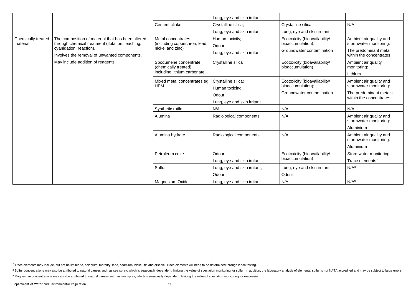|                                       |                                                                                                       |                                                                              | Lung, eye and skin irritant            |                                                                                 |                                                                             |
|---------------------------------------|-------------------------------------------------------------------------------------------------------|------------------------------------------------------------------------------|----------------------------------------|---------------------------------------------------------------------------------|-----------------------------------------------------------------------------|
|                                       |                                                                                                       | Cement clinker                                                               | Crystalline silica;                    | Crystalline silica;                                                             | N/A                                                                         |
|                                       |                                                                                                       |                                                                              | Lung, eye and skin irritant            | Lung, eye and skin irritant;                                                    |                                                                             |
| <b>Chemically treated</b><br>material | The composition of material that has been altered<br>through chemical treatment (flotation, leaching, | <b>Metal concentrates</b><br>(including copper, iron, lead,                  | Human toxicity;<br>Odour;              | Ecotoxicity (bioavailability/<br>bioaccumulation);                              | Ambient air quality and<br>stormwater monitoring:                           |
|                                       | cyanidation, reaction).<br>Involves the removal of unwanted components.                               | nickel and zinc)                                                             | Lung, eye and skin irritant            | Groundwater contamination                                                       | The predominant metal<br>within the concentrates                            |
|                                       | May include addition of reagents.                                                                     | Spodumene concentrate<br>(chemically treated)<br>including lithium carbonate | Crystalline silica                     | Ecotoxicity (bioavailability/<br>bioaccumulation)                               | Ambient air quality<br>monitoring:<br>Lithium                               |
|                                       |                                                                                                       | Mixed metal concentrates eg<br><b>HPM</b>                                    | Crystalline silica;<br>Human toxicity; | Ecotoxicity (bioavailability/<br>bioaccumulation);<br>Groundwater contamination | Ambient air quality and<br>stormwater monitoring:<br>The predominant metals |
|                                       |                                                                                                       |                                                                              | Odour;<br>Lung, eye and skin irritant  |                                                                                 | within the concentrates                                                     |
|                                       |                                                                                                       | Synthetic rutile                                                             | N/A                                    | N/A                                                                             | N/A                                                                         |
|                                       |                                                                                                       | Alumina                                                                      | Radiological components                | N/A                                                                             | Ambient air quality and<br>stormwater monitoring:                           |
|                                       |                                                                                                       |                                                                              |                                        |                                                                                 | Aluminium                                                                   |
|                                       |                                                                                                       | Alumina hydrate                                                              | Radiological components                | N/A                                                                             | Ambient air quality and<br>stormwater monitoring:                           |
|                                       |                                                                                                       |                                                                              |                                        |                                                                                 | Aluminium                                                                   |
|                                       |                                                                                                       | Petroleum coke                                                               | Odour;                                 | Ecotoxicity (bioavailability/                                                   | Stormwater monitoring:                                                      |
|                                       |                                                                                                       |                                                                              | Lung, eye and skin irritant            | bioaccumulation)                                                                | Trace elements <sup>7</sup>                                                 |
|                                       |                                                                                                       | Sulfur                                                                       | Lung, eye and skin irritant;           | Lung, eye and skin irritant;                                                    | N/A <sup>8</sup>                                                            |
|                                       |                                                                                                       |                                                                              | Odour                                  | Odour                                                                           |                                                                             |
|                                       |                                                                                                       | Magnesium Oxide                                                              | Lung, eye and skin irritant            | N/A                                                                             | N/A <sup>9</sup>                                                            |

 $\overline{a}$ 

<sup>&</sup>lt;sup>7</sup> Trace elements may include, but not be limited to, selenium, mercury, lead, cadmium, nickel, tin and arsenic. Trace elements will need to be determined through leach testing.

<sup>8</sup> Sulfur concentrations may also be attributed to natural causes such as sea spray, which is seasonally dependent, limiting the value of speciation monitoring for sulfur. In addition, the laboratory analysis of elemental s <sup>9</sup> Magnesium concentrations may also be attributed to natural causes such as sea spray, which is seasonally dependent, limiting the value of speciation monitoring for magnesium.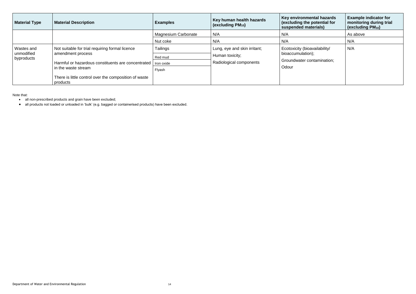| <b>Material Type</b>                   | <b>Material Description</b>                                                                                                                       | <b>Examples</b>            | Key human health hazards<br>(excluding PM <sub>10</sub> ) | Key environmental hazards<br>(excluding the potential for<br>suspended materials) | <b>Example indicator for</b><br>monitoring during trial<br>(excluding PM <sub>10</sub> ) |
|----------------------------------------|---------------------------------------------------------------------------------------------------------------------------------------------------|----------------------------|-----------------------------------------------------------|-----------------------------------------------------------------------------------|------------------------------------------------------------------------------------------|
|                                        |                                                                                                                                                   | <b>Magnesium Carbonate</b> | N/A                                                       | N/A                                                                               | As above                                                                                 |
|                                        |                                                                                                                                                   | Nut coke                   | N/A                                                       | N/A                                                                               | N/A                                                                                      |
| Wastes and<br>unmodified<br>byproducts | Not suitable for trial requiring formal licence<br>amendment process<br>Harmful or hazardous constituents are concentrated<br>in the waste stream | <b>Tailings</b>            | Lung, eye and skin irritant;                              | Ecotoxicity (bioavailability/<br>bioaccumulation);<br>Groundwater contamination;  | N/A                                                                                      |
|                                        |                                                                                                                                                   | Red mud                    | Human toxicity;<br>Radiological components<br>Odour       |                                                                                   |                                                                                          |
|                                        |                                                                                                                                                   | Iron oxide                 |                                                           |                                                                                   |                                                                                          |
|                                        |                                                                                                                                                   | Flyash                     |                                                           |                                                                                   |                                                                                          |
|                                        | There is little control over the composition of waste<br>products                                                                                 |                            |                                                           |                                                                                   |                                                                                          |

Note that:

- all non-prescribed products and grain have been excluded;
- all products not loaded or unloaded in 'bulk' (e.g. bagged or containerised products) have been excluded.